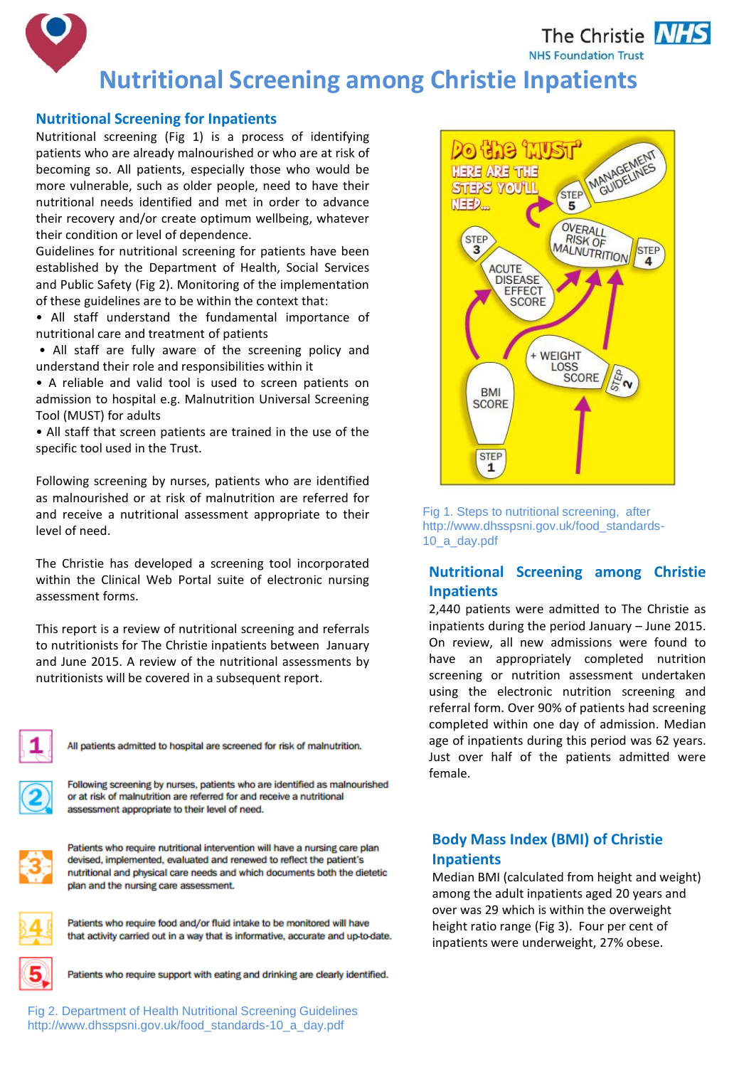The Christie **NHS NHS Foundation Trust** 

# **Nutritional Screening among Christie Inpatients**

#### **Nutritional Screening for Inpatients**

Nutritional screening (Fig 1) is a process of identifying patients who are already malnourished or who are at risk of becoming so. All patients, especially those who would be more vulnerable, such as older people, need to have their nutritional needs identified and met in order to advance their recovery and/or create optimum wellbeing, whatever their condition or level of dependence.

Guidelines for nutritional screening for patients have been established by the Department of Health, Social Services and Public Safety (Fig 2). Monitoring of the implementation of these guidelines are to be within the context that:

• All staff understand the fundamental importance of nutritional care and treatment of patients

• All staff are fully aware of the screening policy and understand their role and responsibilities within it

• A reliable and valid tool is used to screen patients on admission to hospital e.g. Malnutrition Universal Screening Tool (MUST) for adults

• All staff that screen patients are trained in the use of the specific tool used in the Trust.

Following screening by nurses, patients who are identified as malnourished or at risk of malnutrition are referred for and receive a nutritional assessment appropriate to their level of need.

The Christie has developed a screening tool incorporated within the Clinical Web Portal suite of electronic nursing assessment forms.

This report is a review of nutritional screening and referrals to nutritionists for The Christie inpatients between January and June 2015. A review of the nutritional assessments by nutritionists will be covered in a subsequent report.



All patients admitted to hospital are screened for risk of malnutrition.

status. or at risk of malnutrition are referred for and receive a nutritional assessment appropriate to their level of need.



Patients who require nutritional intervention will have a nursing care plan devised, implemented, evaluated and renewed to reflect the patient's nutritional and physical care needs and which documents both the dietetic plan and the nursing care assessment.



Patients who require food and/or fluid intake to be monitored will have that activity carried out in a way that is informative, accurate and up-to-date.



Patients who require support with eating and drinking are clearly identified.



Fig 1. Steps to nutritional screening, after http://www.dhsspsni.gov.uk/food\_standards-10\_a\_day.pdf

## **Nutritional Screening among Christie Inpatients**

2,440 patients were admitted to The Christie as inpatients during the period January – June 2015. On review, all new admissions were found to have an appropriately completed nutrition screening or nutrition assessment undertaken using the electronic nutrition screening and referral form. Over 90% of patients had screening completed within one day of admission. Median age of inpatients during this period was 62 years. Just over half of the patients admitted were female.

## **Body Mass Index (BMI) of Christie Inpatients**

Median BMI (calculated from height and weight) among the adult inpatients aged 20 years and over was 29 which is within the overweight height ratio range (Fig 3). Four per cent of inpatients were underweight, 27% obese.